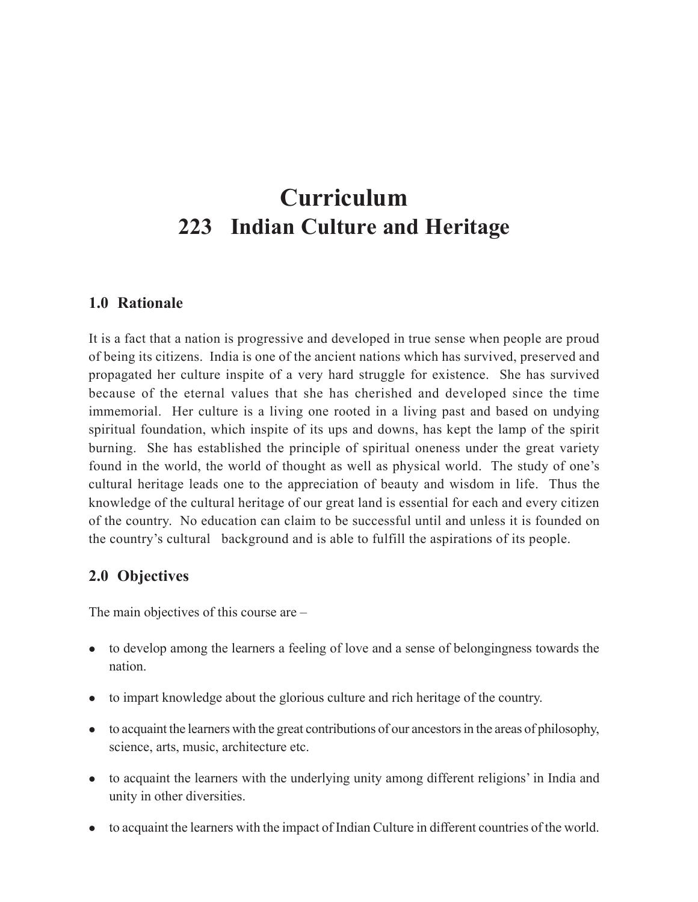# **Curriculum 223 Indian Culture and Heritage**

# **1.0 Rationale**

It is a fact that a nation is progressive and developed in true sense when people are proud of being its citizens. India is one of the ancient nations which has survived, preserved and propagated her culture inspite of a very hard struggle for existence. She has survived because of the eternal values that she has cherished and developed since the time immemorial. Her culture is a living one rooted in a living past and based on undying spiritual foundation, which inspite of its ups and downs, has kept the lamp of the spirit burning. She has established the principle of spiritual oneness under the great variety found in the world, the world of thought as well as physical world. The study of one's cultural heritage leads one to the appreciation of beauty and wisdom in life. Thus the knowledge of the cultural heritage of our great land is essential for each and every citizen of the country. No education can claim to be successful until and unless it is founded on the country's cultural background and is able to fulfill the aspirations of its people.

# **2.0 Objectives**

The main objectives of this course are –

- to develop among the learners a feeling of love and a sense of belongingness towards the nation.
- to impart knowledge about the glorious culture and rich heritage of the country.
- to acquaint the learners with the great contributions of our ancestors in the areas of philosophy, science, arts, music, architecture etc.
- to acquaint the learners with the underlying unity among different religions' in India and unity in other diversities.
- to acquaint the learners with the impact of Indian Culture in different countries of the world.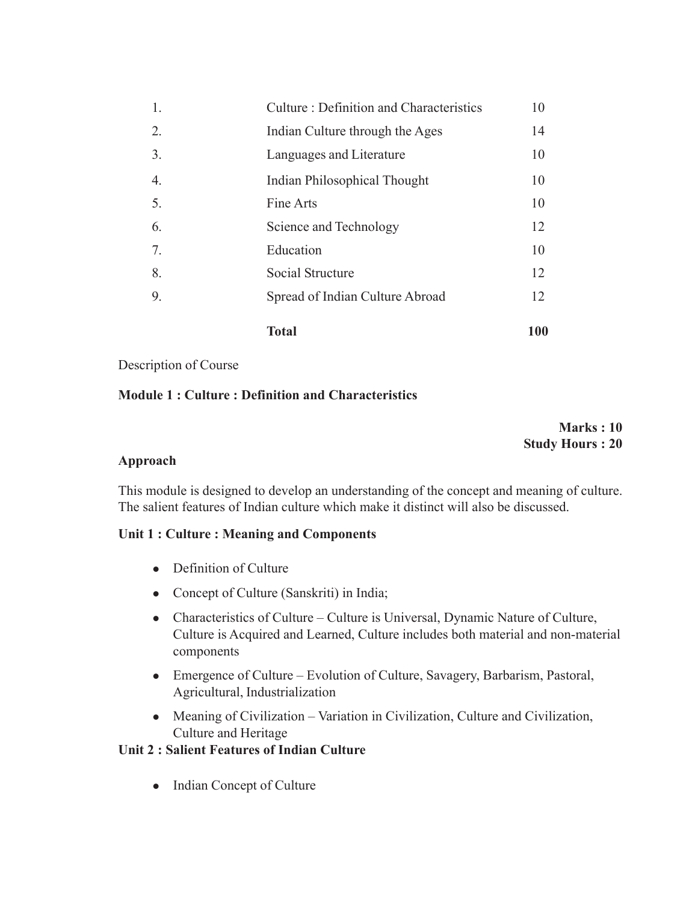|    | <b>Total</b>                                   | <b>100</b> |
|----|------------------------------------------------|------------|
| 9. | Spread of Indian Culture Abroad                | 12         |
| 8. | Social Structure                               | 12         |
| 7. | Education                                      | 10         |
| 6. | Science and Technology                         | 12         |
| 5. | Fine Arts                                      | 10         |
| 4. | Indian Philosophical Thought                   | 10         |
| 3. | Languages and Literature                       | 10         |
| 2. | Indian Culture through the Ages                | 14         |
| 1. | <b>Culture: Definition and Characteristics</b> | 10         |

#### Description of Course

#### **Module 1 : Culture : Definition and Characteristics**

**Marks : 10 Study Hours : 20**

#### **Approach**

This module is designed to develop an understanding of the concept and meaning of culture. The salient features of Indian culture which make it distinct will also be discussed.

#### **Unit 1 : Culture : Meaning and Components**

- $\bullet$  Definition of Culture
- Concept of Culture (Sanskriti) in India;
- Characteristics of Culture Culture is Universal, Dynamic Nature of Culture, Culture is Acquired and Learned, Culture includes both material and non-material components
- Emergence of Culture Evolution of Culture, Savagery, Barbarism, Pastoral, Agricultural, Industrialization
- Meaning of Civilization Variation in Civilization, Culture and Civilization, Culture and Heritage

#### **Unit 2 : Salient Features of Indian Culture**

• Indian Concept of Culture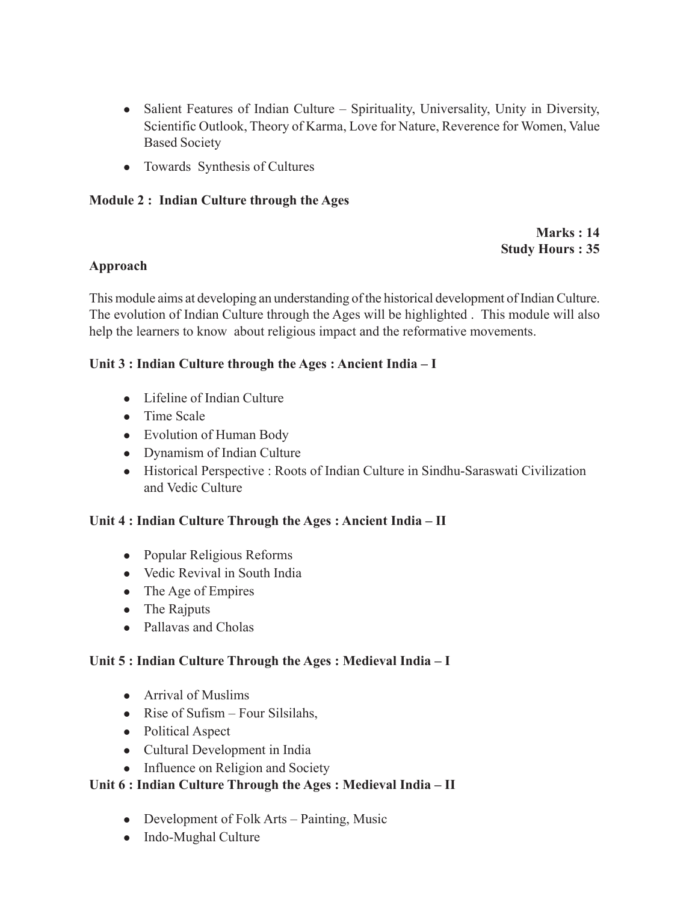- Salient Features of Indian Culture Spirituality, Universality, Unity in Diversity, Scientific Outlook, Theory of Karma, Love for Nature, Reverence for Women, Value Based Society
- Towards Synthesis of Cultures

## **Module 2 : Indian Culture through the Ages**

**Marks : 14 Study Hours : 35**

#### **Approach**

This module aims at developing an understanding of the historical development of Indian Culture. The evolution of Indian Culture through the Ages will be highlighted . This module will also help the learners to know about religious impact and the reformative movements.

## **Unit 3 : Indian Culture through the Ages : Ancient India – I**

- $\bullet$  Lifeline of Indian Culture
- Time Scale
- Evolution of Human Body
- Dynamism of Indian Culture
- Historical Perspective : Roots of Indian Culture in Sindhu-Saraswati Civilization and Vedic Culture

# **Unit 4 : Indian Culture Through the Ages : Ancient India – II**

- Popular Religious Reforms
- Vedic Revival in South India
- $\bullet$  The Age of Empires
- The Rajputs
- Pallavas and Cholas

# **Unit 5 : Indian Culture Through the Ages : Medieval India – I**

- $\bullet$  Arrival of Muslims
- Rise of Sufism Four Silsilahs,
- Political Aspect
- Cultural Development in India
- Influence on Religion and Society

# **Unit 6 : Indian Culture Through the Ages : Medieval India – II**

- Development of Folk Arts Painting, Music
- Indo-Mughal Culture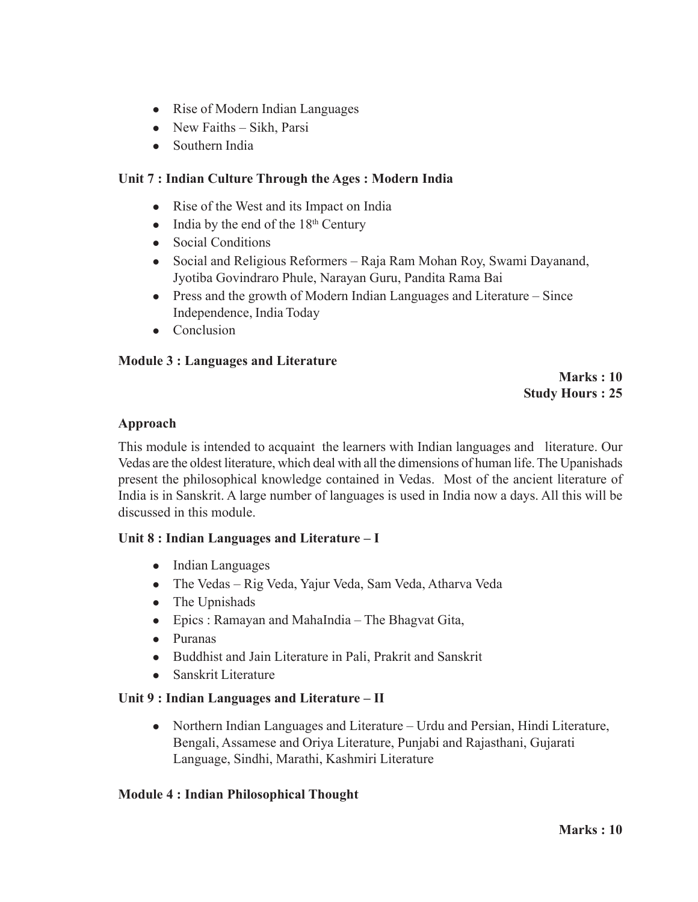- Rise of Modern Indian Languages
- $\bullet$  New Faiths Sikh, Parsi
- Southern India

## **Unit 7 : Indian Culture Through the Ages : Modern India**

- Rise of the West and its Impact on India
- $\bullet$  India by the end of the 18<sup>th</sup> Century
- Social Conditions
- Social and Religious Reformers Raja Ram Mohan Roy, Swami Dayanand, Jyotiba Govindraro Phule, Narayan Guru, Pandita Rama Bai
- $\bullet$  Press and the growth of Modern Indian Languages and Literature Since Independence, India Today
- Conclusion

#### **Module 3 : Languages and Literature**

#### **Marks : 10 Study Hours : 25**

#### **Approach**

This module is intended to acquaint the learners with Indian languages and literature. Our Vedas are the oldest literature, which deal with all the dimensions of human life. The Upanishads present the philosophical knowledge contained in Vedas. Most of the ancient literature of India is in Sanskrit. A large number of languages is used in India now a days. All this will be discussed in this module.

#### **Unit 8 : Indian Languages and Literature – I**

- $\bullet$  Indian Languages
- The Vedas Rig Veda, Yajur Veda, Sam Veda, Atharva Veda
- $\bullet$  The Upnishads
- Epics : Ramayan and MahaIndia The Bhagvat Gita,
- Puranas
- Buddhist and Jain Literature in Pali, Prakrit and Sanskrit
- $\bullet$  Sanskrit Literature

#### **Unit 9 : Indian Languages and Literature – II**

• Northern Indian Languages and Literature – Urdu and Persian, Hindi Literature, Bengali, Assamese and Oriya Literature, Punjabi and Rajasthani, Gujarati Language, Sindhi, Marathi, Kashmiri Literature

#### **Module 4 : Indian Philosophical Thought**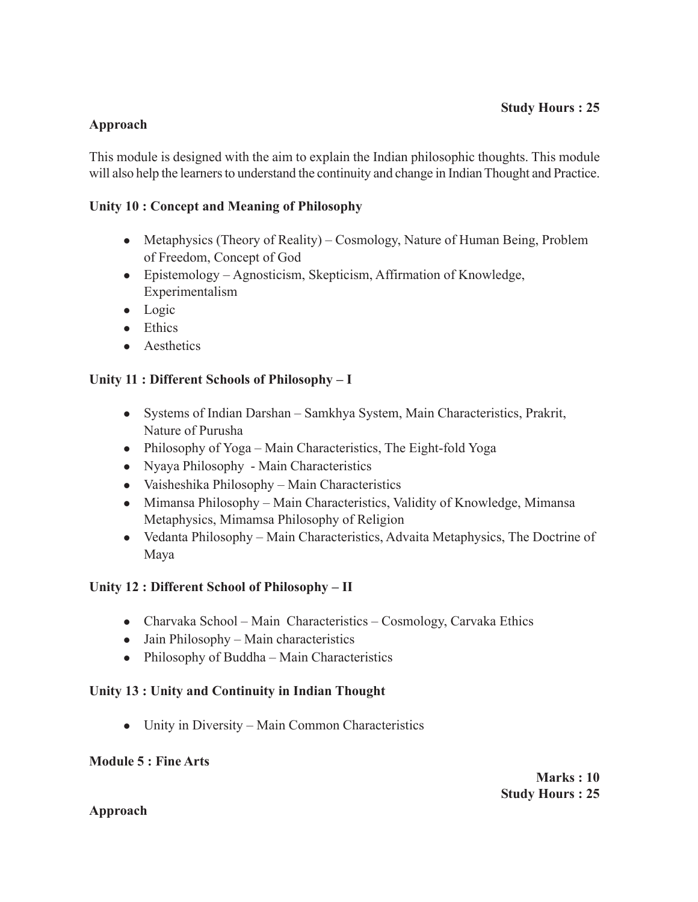## **Approach**

This module is designed with the aim to explain the Indian philosophic thoughts. This module will also help the learners to understand the continuity and change in Indian Thought and Practice.

## **Unity 10 : Concept and Meaning of Philosophy**

- Metaphysics (Theory of Reality) Cosmology, Nature of Human Being, Problem of Freedom, Concept of God
- Epistemology Agnosticism, Skepticism, Affirmation of Knowledge, Experimentalism
- $\bullet$  Logic
- $\bullet$  Ethics
- Aesthetics

## **Unity 11 : Different Schools of Philosophy – I**

- Systems of Indian Darshan Samkhya System, Main Characteristics, Prakrit, Nature of Purusha
- Philosophy of Yoga Main Characteristics, The Eight-fold Yoga
- Nyaya Philosophy Main Characteristics
- Vaisheshika Philosophy Main Characteristics
- Mimansa Philosophy Main Characteristics, Validity of Knowledge, Mimansa Metaphysics, Mimamsa Philosophy of Religion
- Vedanta Philosophy Main Characteristics, Advaita Metaphysics, The Doctrine of Maya

#### **Unity 12 : Different School of Philosophy – II**

- Charvaka School Main Characteristics Cosmology, Carvaka Ethics
- $\bullet$  Jain Philosophy Main characteristics
- Philosophy of Buddha Main Characteristics

#### **Unity 13 : Unity and Continuity in Indian Thought**

• Unity in Diversity – Main Common Characteristics

#### **Module 5 : Fine Arts**

#### **Approach**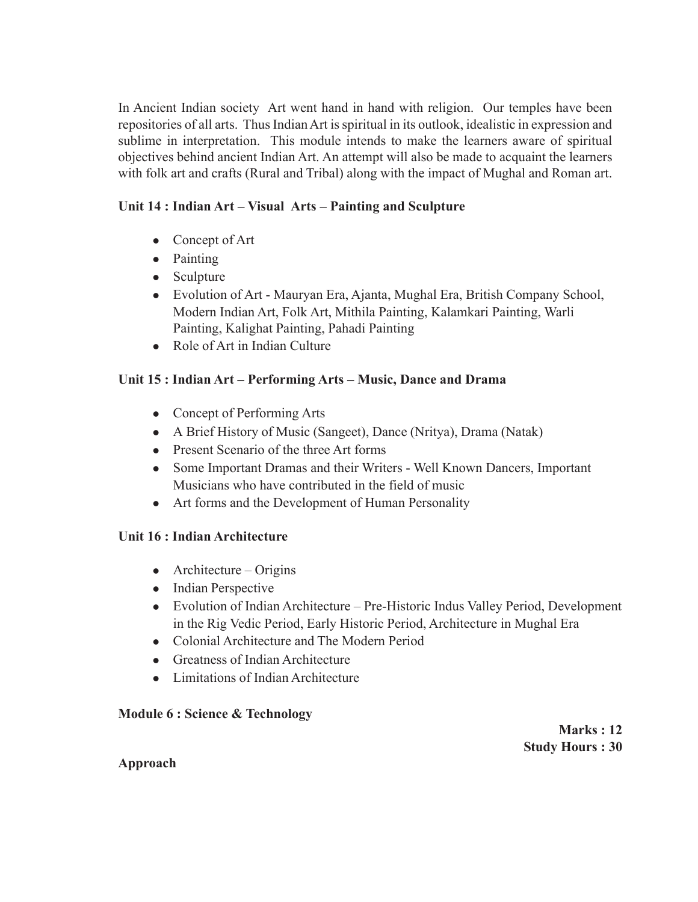In Ancient Indian society Art went hand in hand with religion. Our temples have been repositories of all arts. Thus Indian Art is spiritual in its outlook, idealistic in expression and sublime in interpretation. This module intends to make the learners aware of spiritual objectives behind ancient Indian Art. An attempt will also be made to acquaint the learners with folk art and crafts (Rural and Tribal) along with the impact of Mughal and Roman art.

# **Unit 14 : Indian Art – Visual Arts – Painting and Sculpture**

- Concept of Art
- Painting
- Sculpture
- Evolution of Art Mauryan Era, Ajanta, Mughal Era, British Company School, Modern Indian Art, Folk Art, Mithila Painting, Kalamkari Painting, Warli Painting, Kalighat Painting, Pahadi Painting
- Role of Art in Indian Culture

# **Unit 15 : Indian Art – Performing Arts – Music, Dance and Drama**

- $\bullet$  Concept of Performing Arts
- A Brief History of Music (Sangeet), Dance (Nritya), Drama (Natak)
- Present Scenario of the three Art forms
- Some Important Dramas and their Writers Well Known Dancers, Important Musicians who have contributed in the field of music
- Art forms and the Development of Human Personality

# **Unit 16 : Indian Architecture**

- $\bullet$  Architecture Origins
- Indian Perspective
- Evolution of Indian Architecture Pre-Historic Indus Valley Period, Development in the Rig Vedic Period, Early Historic Period, Architecture in Mughal Era
- Colonial Architecture and The Modern Period
- $\bullet$  Greatness of Indian Architecture
- Limitations of Indian Architecture

# **Module 6 : Science & Technology**

**Marks : 12 Study Hours : 30**

#### **Approach**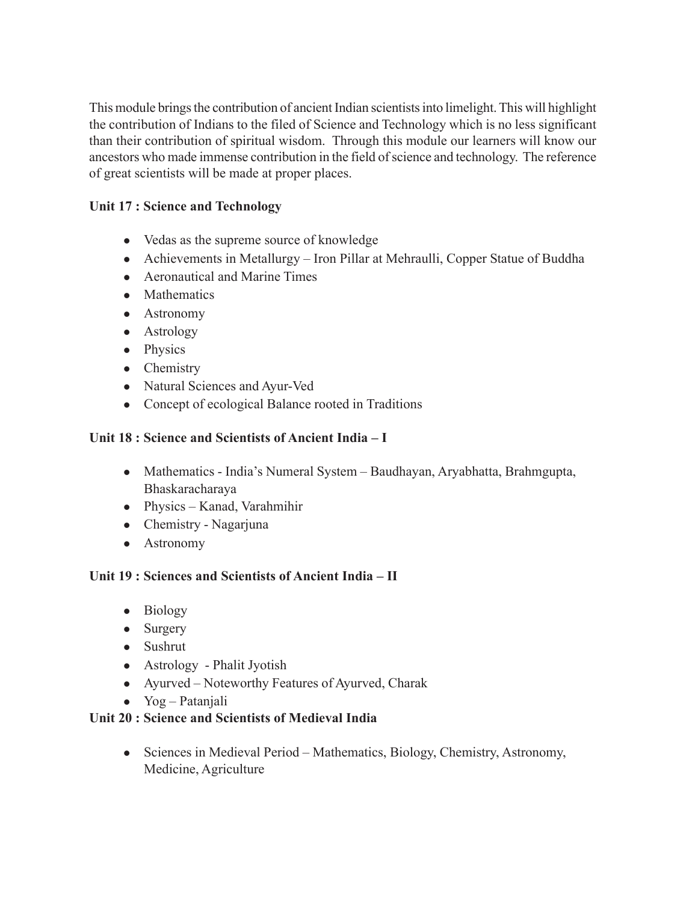This module brings the contribution of ancient Indian scientists into limelight. This will highlight the contribution of Indians to the filed of Science and Technology which is no less significant than their contribution of spiritual wisdom. Through this module our learners will know our ancestors who made immense contribution in the field of science and technology. The reference of great scientists will be made at proper places.

## **Unit 17 : Science and Technology**

- Vedas as the supreme source of knowledge
- Achievements in Metallurgy Iron Pillar at Mehraulli, Copper Statue of Buddha
- Aeronautical and Marine Times
- Mathematics
- Astronomy
- $\bullet$  Astrology
- Physics
- Chemistry
- Natural Sciences and Ayur-Ved
- Concept of ecological Balance rooted in Traditions

#### **Unit 18 : Science and Scientists of Ancient India – I**

- Mathematics India's Numeral System Baudhayan, Aryabhatta, Brahmgupta, Bhaskaracharaya
- Physics Kanad, Varahmihir
- $\bullet$  Chemistry Nagarjuna
- Astronomy

#### **Unit 19 : Sciences and Scientists of Ancient India – II**

- Biology
- $\bullet$  Surgery
- $\bullet$  Sushrut
- Astrology Phalit Jyotish
- Ayurved Noteworthy Features of Ayurved, Charak
- $\bullet$  Yog Patanjali

#### **Unit 20 : Science and Scientists of Medieval India**

 $\bullet$  Sciences in Medieval Period – Mathematics, Biology, Chemistry, Astronomy, Medicine, Agriculture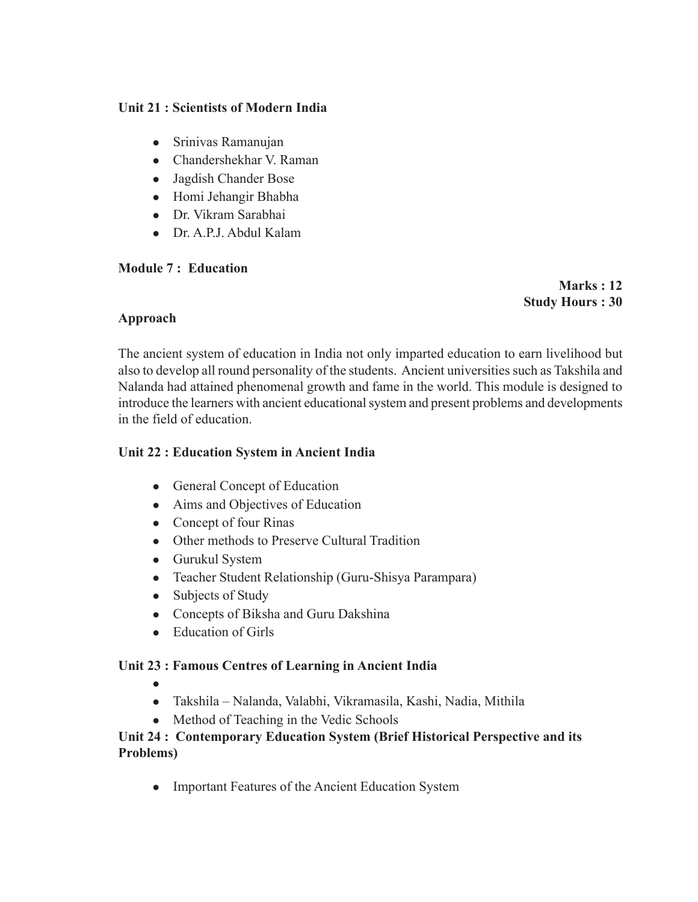## **Unit 21 : Scientists of Modern India**

- Srinivas Ramanujan
- Chandershekhar V. Raman
- Jagdish Chander Bose
- Homi Jehangir Bhabha
- Dr. Vikram Sarabhai
- Dr. A.P.J. Abdul Kalam

#### **Module 7 : Education**

**Marks : 12 Study Hours : 30**

## **Approach**

The ancient system of education in India not only imparted education to earn livelihood but also to develop all round personality of the students. Ancient universities such as Takshila and Nalanda had attained phenomenal growth and fame in the world. This module is designed to introduce the learners with ancient educational system and present problems and developments in the field of education.

## **Unit 22 : Education System in Ancient India**

- General Concept of Education
- Aims and Objectives of Education
- Concept of four Rinas
- Other methods to Preserve Cultural Tradition
- Gurukul System
- Teacher Student Relationship (Guru-Shisya Parampara)
- $\bullet$  Subjects of Study
- Concepts of Biksha and Guru Dakshina
- $\bullet$  Education of Girls

#### **Unit 23 : Famous Centres of Learning in Ancient India**

- $\bullet$
- Takshila Nalanda, Valabhi, Vikramasila, Kashi, Nadia, Mithila
- Method of Teaching in the Vedic Schools

## **Unit 24 : Contemporary Education System (Brief Historical Perspective and its Problems)**

• Important Features of the Ancient Education System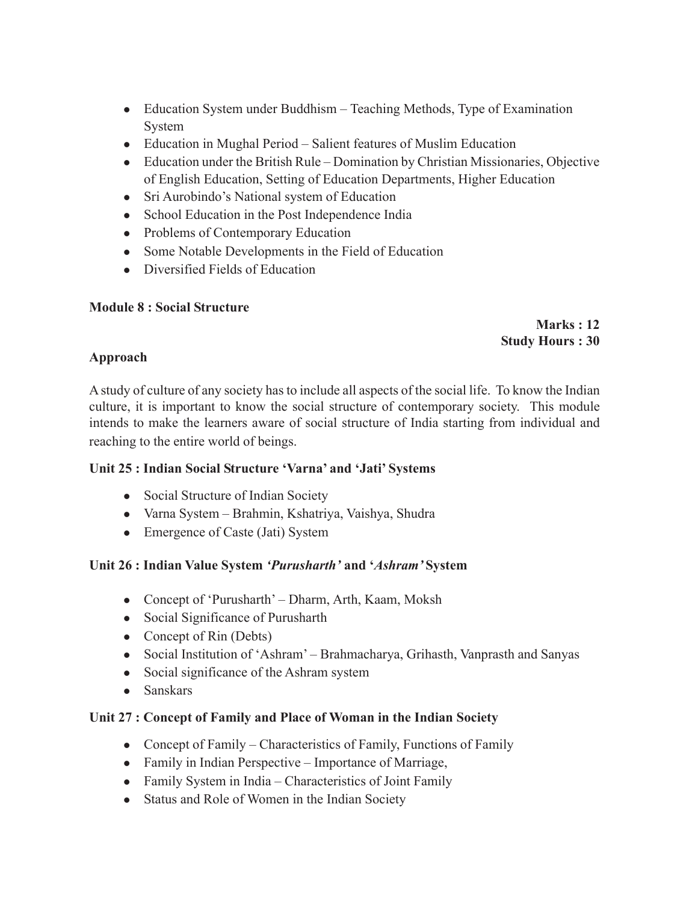- Education System under Buddhism Teaching Methods, Type of Examination System
- Education in Mughal Period Salient features of Muslim Education
- $\bullet$  Education under the British Rule Domination by Christian Missionaries, Objective of English Education, Setting of Education Departments, Higher Education
- Sri Aurobindo's National system of Education
- School Education in the Post Independence India
- Problems of Contemporary Education
- Some Notable Developments in the Field of Education
- Diversified Fields of Education

## **Module 8 : Social Structure**

**Marks : 12 Study Hours : 30**

## **Approach**

A study of culture of any society has to include all aspects of the social life. To know the Indian culture, it is important to know the social structure of contemporary society. This module intends to make the learners aware of social structure of India starting from individual and reaching to the entire world of beings.

#### **Unit 25 : Indian Social Structure 'Varna' and 'Jati' Systems**

- Social Structure of Indian Society
- Varna System Brahmin, Kshatriya, Vaishya, Shudra
- Emergence of Caste (Jati) System

# **Unit 26 : Indian Value System** *'Purusharth'* **and '***Ashram'* **System**

- Concept of 'Purusharth' Dharm, Arth, Kaam, Moksh
- Social Significance of Purusharth
- Concept of Rin (Debts)
- Social Institution of 'Ashram' Brahmacharya, Grihasth, Vanprasth and Sanyas
- Social significance of the Ashram system
- Sanskars

# **Unit 27 : Concept of Family and Place of Woman in the Indian Society**

- Concept of Family Characteristics of Family, Functions of Family
- Family in Indian Perspective Importance of Marriage,
- Family System in India Characteristics of Joint Family
- Status and Role of Women in the Indian Society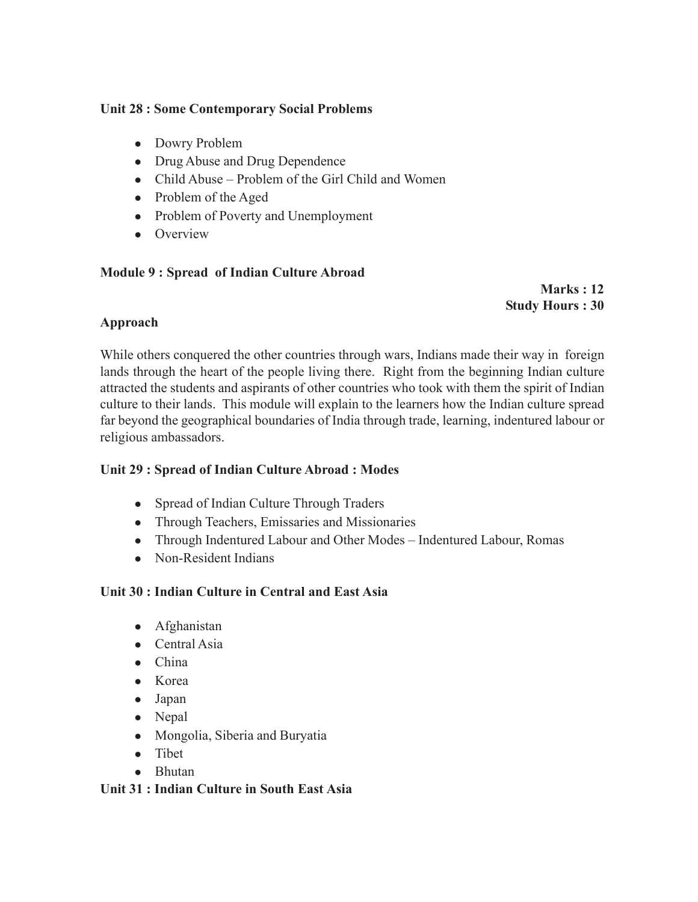## **Unit 28 : Some Contemporary Social Problems**

- Dowry Problem
- Drug Abuse and Drug Dependence
- Child Abuse Problem of the Girl Child and Women
- $\bullet$  Problem of the Aged
- Problem of Poverty and Unemployment
- $\bullet$  Overview

## **Module 9 : Spread of Indian Culture Abroad**

**Marks : 12 Study Hours : 30**

# **Approach**

While others conquered the other countries through wars, Indians made their way in foreign lands through the heart of the people living there. Right from the beginning Indian culture attracted the students and aspirants of other countries who took with them the spirit of Indian culture to their lands. This module will explain to the learners how the Indian culture spread far beyond the geographical boundaries of India through trade, learning, indentured labour or religious ambassadors.

# **Unit 29 : Spread of Indian Culture Abroad : Modes**

- Spread of Indian Culture Through Traders
- Through Teachers, Emissaries and Missionaries
- Through Indentured Labour and Other Modes Indentured Labour, Romas
- Non-Resident Indians

# **Unit 30 : Indian Culture in Central and East Asia**

- Afghanistan
- $\bullet$  Central Asia
- $\bullet$  China
- $\bullet$  Korea
- $\bullet$  Japan
- Nepal
- Mongolia, Siberia and Buryatia
- $\bullet$  Tibet
- $\bullet$  Bhutan

#### **Unit 31 : Indian Culture in South East Asia**